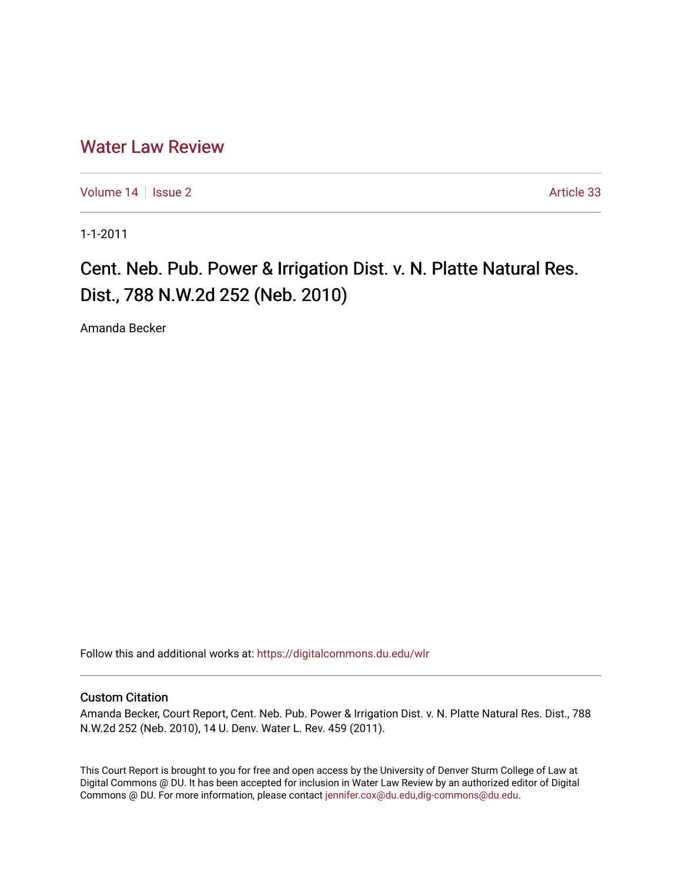# [Water Law Review](https://digitalcommons.du.edu/wlr)

[Volume 14](https://digitalcommons.du.edu/wlr/vol14) | [Issue 2](https://digitalcommons.du.edu/wlr/vol14/iss2) Article 33

1-1-2011

# Cent. Neb. Pub. Power & Irrigation Dist. v. N. Platte Natural Res. Dist., 788 N.W.2d 252 (Neb. 2010)

Amanda Becker

Follow this and additional works at: [https://digitalcommons.du.edu/wlr](https://digitalcommons.du.edu/wlr?utm_source=digitalcommons.du.edu%2Fwlr%2Fvol14%2Fiss2%2F33&utm_medium=PDF&utm_campaign=PDFCoverPages) 

## Custom Citation

Amanda Becker, Court Report, Cent. Neb. Pub. Power & Irrigation Dist. v. N. Platte Natural Res. Dist., 788 N.W.2d 252 (Neb. 2010), 14 U. Denv. Water L. Rev. 459 (2011).

This Court Report is brought to you for free and open access by the University of Denver Sturm College of Law at Digital Commons @ DU. It has been accepted for inclusion in Water Law Review by an authorized editor of Digital Commons @ DU. For more information, please contact [jennifer.cox@du.edu,dig-commons@du.edu.](mailto:jennifer.cox@du.edu,dig-commons@du.edu)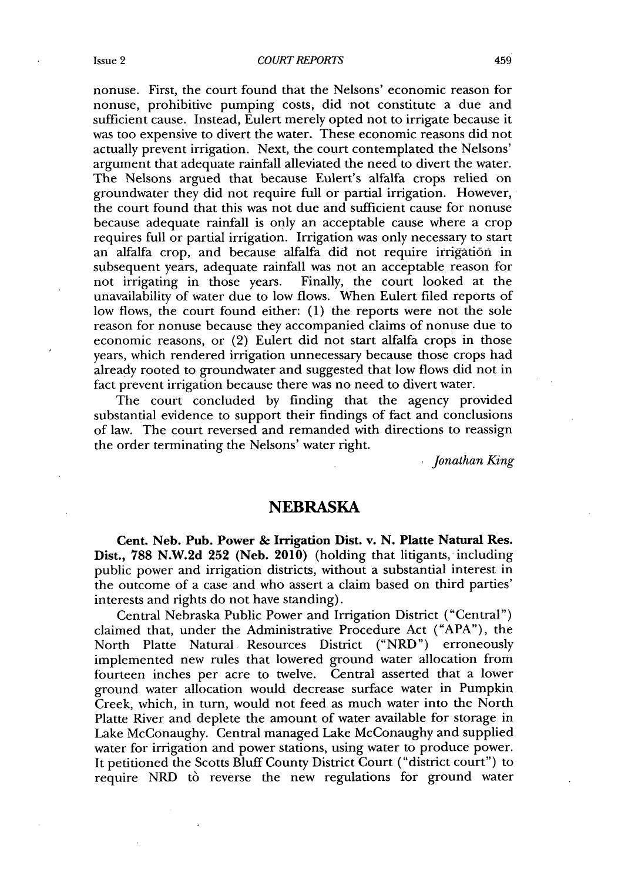nonuse. First, the court found that the Nelsons' economic reason for nonuse, prohibitive pumping costs, did not constitute a due and sufficient cause. Instead, Eulert merely opted not to irrigate because it was too expensive to divert the water. These economic reasons did not actually prevent irrigation. Next, the court contemplated the Nelsons' argument that adequate rainfall alleviated the need to divert the water. The Nelsons argued that because Eulert's alfalfa crops relied on groundwater they did not require full or partial irrigation. However, the court found that this was not due and sufficient cause for nonuse because adequate rainfall is only an acceptable cause where a crop requires full or partial irrigation. Irrigation was only necessary to start an alfalfa crop, and because alfalfa did not require irrigation in subsequent years, adequate rainfall was not an acceptable reason for not irrigating in those years. Finally, the court looked at the unavailability of water due to low flows. When Eulert filed reports of low flows, the court found either: **(1)** the reports were not the sole reason for nonuse because they accompanied claims of nonuse due to economic reasons, or (2) Eulert did not start alfalfa crops in those years, which rendered irrigation unnecessary because those crops had already rooted to groundwater and suggested that low flows did not in fact prevent irrigation because there was no need to divert water.

The court concluded **by** finding that the agency provided substantial evidence to support their findings of fact and conclusions of law. The court reversed and remanded with directions to reassign the order terminating the Nelsons' water right.

*Jonathan King*

#### **NEBRASKA**

Cent. Neb. Pub. Power **&** Irrigation Dist. v. **N.** Platte Natural Res. Dist., **788 N.W.2d 252** (Neb. 2010) (holding that litigants, including public power and irrigation districts, without a substantial interest in the outcome of a case and who assert a claim based on third parties' interests and rights do not have standing).

Central Nebraska Public Power and Irrigation District ("Central") claimed that, under the Administrative Procedure Act **("APA"),** the North Platte Natural Resources District ("NRD") erroneously implemented new rules that lowered ground water allocation from fourteen inches per acre to twelve. Central asserted that a lower ground water allocation would decrease surface water in Pumpkin Creek, which, in turn, would not feed as much water into the North Platte River and deplete the amount of water available for storage in Lake McConaughy. Central managed Lake McConaughy and supplied water for irrigation and power stations, using water to produce power. It petitioned the Scotts Bluff County District Court ("district court") to require NRD to reverse the new regulations for ground water